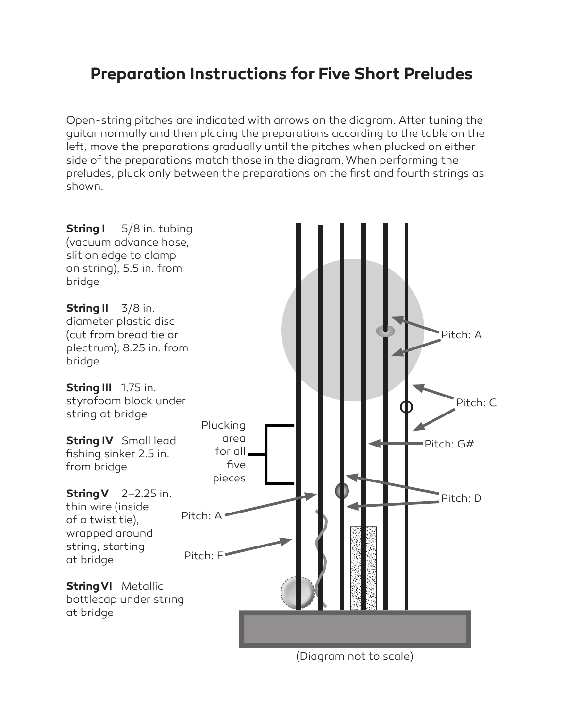## **Preparation Instructions for Five Short Preludes**

Open-string pitches are indicated with arrows on the diagram. After tuning the guitar normally and then placing the preparations according to the table on the left, move the preparations gradually until the pitches when plucked on either side of the preparations match those in the diagram. When performing the preludes, pluck only between the preparations on the first and fourth strings as shown.



(Diagram not to scale)